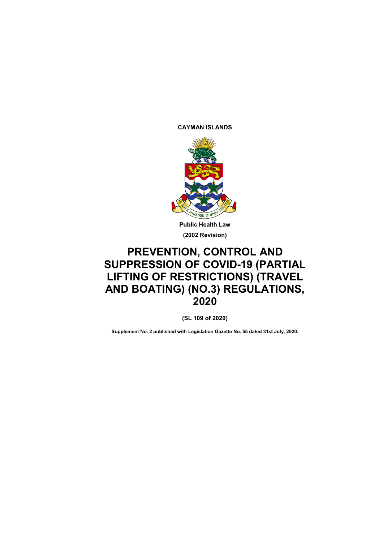**CAYMAN ISLANDS**



**Public Health Law (2002 Revision)**

# **PREVENTION, CONTROL AND SUPPRESSION OF COVID-19 (PARTIAL LIFTING OF RESTRICTIONS) (TRAVEL AND BOATING) (NO.3) REGULATIONS, 2020**

**(SL 109 of 2020)**

**Supplement No. 2 published with Legislation Gazette No. 55 dated 31st July, 2020.**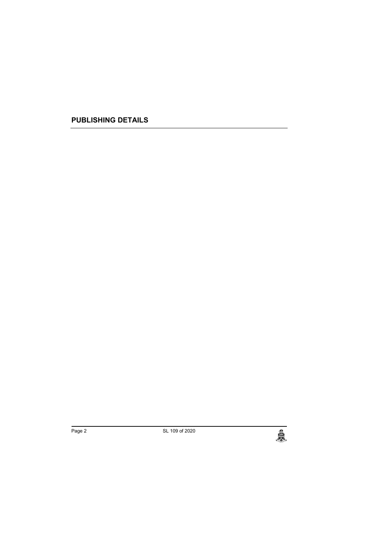**PUBLISHING DETAILS**

الله Page 2 SL 109 of 2020<br>المجلس المساحة المساحة المساحة المساحة المساحة المساحة المساحة المساحة المساحة المساحة المساحة المساحة المساحة<br>المساحة المساحة المساحة المساحة المساحة المساحة المساحة المساحة المساحة المساحة ال

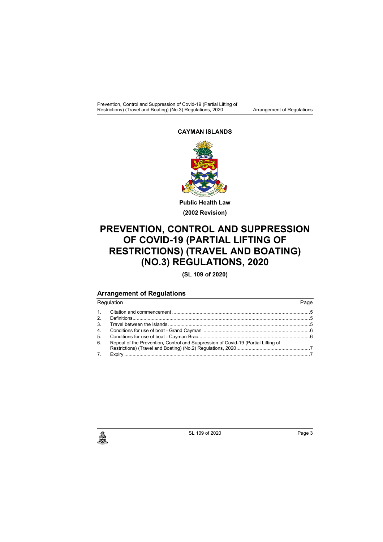Prevention, Control and Suppression of Covid-19 (Partial Lifting of Restrictions) (Travel and Boating) (No.3) Regulations, 2020 **Arrangement of Regulations** 

#### **CAYMAN ISLANDS**



**Public Health Law (2002 Revision)**

## **PREVENTION, CONTROL AND SUPPRESSION OF COVID-19 (PARTIAL LIFTING OF RESTRICTIONS) (TRAVEL AND BOATING) (NO.3) REGULATIONS, 2020**

**(SL 109 of 2020)**

### **Arrangement of Regulations**

|    | Regulation                                                                        | Page |
|----|-----------------------------------------------------------------------------------|------|
| 1. |                                                                                   |      |
| 2. |                                                                                   |      |
| 3. |                                                                                   |      |
| 4. |                                                                                   |      |
| 5. |                                                                                   |      |
| 6. | Repeal of the Prevention, Control and Suppression of Covid-19 (Partial Lifting of |      |
|    |                                                                                   |      |
| 7. |                                                                                   |      |
|    |                                                                                   |      |

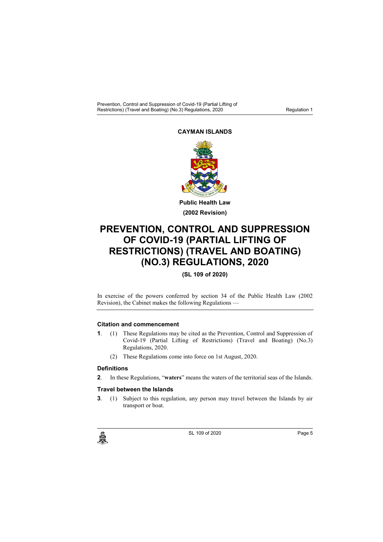Prevention, Control and Suppression of Covid-19 (Partial Lifting of Restrictions) (Travel and Boating) (No.3) Regulations, 2020

#### **CAYMAN ISLANDS**



**Public Health Law (2002 Revision)**

## **PREVENTION, CONTROL AND SUPPRESSION OF COVID-19 (PARTIAL LIFTING OF RESTRICTIONS) (TRAVEL AND BOATING) (NO.3) REGULATIONS, 2020**

### **(SL 109 of 2020)**

In exercise of the powers conferred by section 34 of the Public Health Law (2002 Revision), the Cabinet makes the following Regulations —

#### **1. Citation and commencement**

- **1**. (1) These Regulations may be cited as the Prevention, Control and Suppression of Covid-19 (Partial Lifting of Restrictions) (Travel and Boating) (No.3) Regulations, 2020.
	- (2) These Regulations come into force on 1st August, 2020.

#### **2. Definitions**

**2**. In these Regulations, "**waters**" means the waters of the territorial seas of the Islands.

#### **3. Travel between the Islands**

**3**. (1) Subject to this regulation, any person may travel between the Islands by air transport or boat.



c SL 109 of 2020<br>Page 5<br>C SL 109 of 2020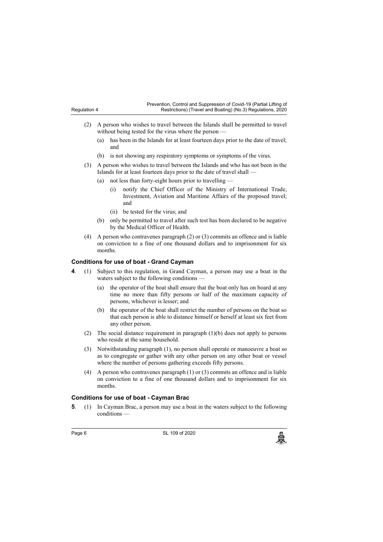| Prevention, Control and Suppression of Covid-19 (Partial Lifting of |  |
|---------------------------------------------------------------------|--|
| Restrictions) (Travel and Boating) (No.3) Regulations, 2020         |  |

- (2) A person who wishes to travel between the Islands shall be permitted to travel without being tested for the virus where the person —
	- (a) has been in the Islands for at least fourteen days prior to the date of travel; and
	- (b) is not showing any respiratory symptoms or symptoms of the virus.
- (3) A person who wishes to travel between the Islands and who has not been in the Islands for at least fourteen days prior to the date of travel shall -
	- (a) not less than forty-eight hours prior to travelling -
		- (i) notify the Chief Officer of the Ministry of International Trade, Investment, Aviation and Maritime Affairs of the proposed travel; and
		- (ii) be tested for the virus; and
	- (b) only be permitted to travel after such test has been declared to be negative by the Medical Officer of Health.
- (4) A person who contravenes paragraph (2) or (3) commits an offence and is liable on conviction to a fine of one thousand dollars and to imprisonment for six months.

#### **4. Conditions for use of boat - Grand Cayman**

- **4**. (1) Subject to this regulation, in Grand Cayman, a person may use a boat in the waters subject to the following conditions —
	- (a) the operator of the boat shall ensure that the boat only has on board at any time no more than fifty persons or half of the maximum capacity of persons, whichever is lesser; and
	- (b) the operator of the boat shall restrict the number of persons on the boat so that each person is able to distance himself or herself at least six feet from any other person.
	- (2) The social distance requirement in paragraph (1)(b) does not apply to persons who reside at the same household.
	- (3) Notwithstanding paragraph (1), no person shall operate or manoeuvre a boat so as to congregate or gather with any other person on any other boat or vessel where the number of persons gathering exceeds fifty persons.
	- (4) A person who contravenes paragraph (1) or (3) commits an offence and is liable on conviction to a fine of one thousand dollars and to imprisonment for six months.

#### **5. Conditions for use of boat - Cayman Brac**

**5**. (1) In Cayman Brac, a person may use a boat in the waters subject to the following conditions —

Regulation 4

Page 6 SL 109 of 2020<br>المجلس المستخدم المستخدم المستخدم المستخدم المستخدم المستخدم المستخدم المستخدم المستخدم المستخدم المستخدم المس<br>والمستخدم المستخدم المستخدم المستخدم المستخدم المستخدم المستخدم المستخدم المستخدم المستخ